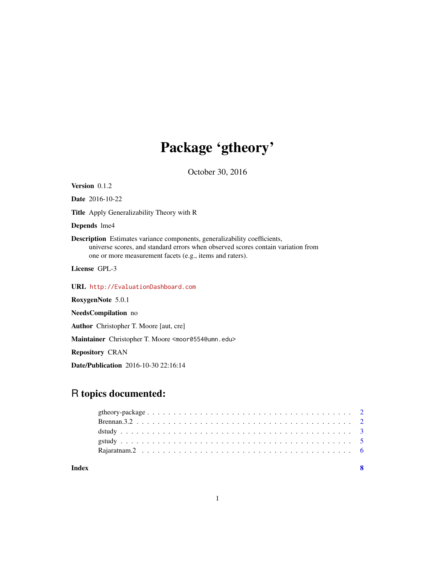## Package 'gtheory'

October 30, 2016

<span id="page-0-0"></span>Version 0.1.2 Date 2016-10-22 Title Apply Generalizability Theory with R Depends lme4 Description Estimates variance components, generalizability coefficients, universe scores, and standard errors when observed scores contain variation from one or more measurement facets (e.g., items and raters). License GPL-3 URL <http://EvaluationDashboard.com> RoxygenNote 5.0.1 NeedsCompilation no Author Christopher T. Moore [aut, cre] Maintainer Christopher T. Moore <moor0554@umn.edu>

Repository CRAN

Date/Publication 2016-10-30 22:16:14

## R topics documented:

| Index |  |
|-------|--|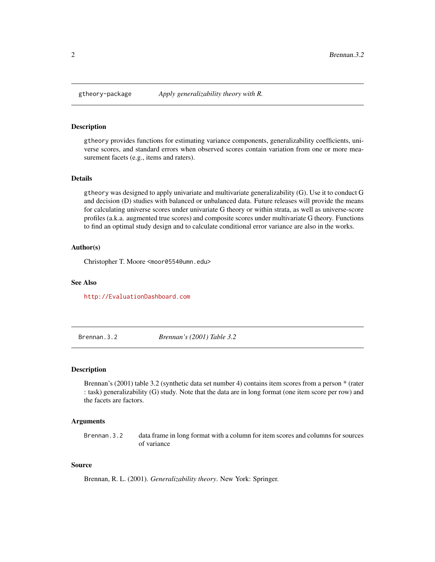<span id="page-1-0"></span>

#### **Description**

gtheory provides functions for estimating variance components, generalizability coefficients, universe scores, and standard errors when observed scores contain variation from one or more measurement facets (e.g., items and raters).

#### Details

gtheory was designed to apply univariate and multivariate generalizability (G). Use it to conduct G and decision (D) studies with balanced or unbalanced data. Future releases will provide the means for calculating universe scores under univariate G theory or within strata, as well as universe-score profiles (a.k.a. augmented true scores) and composite scores under multivariate G theory. Functions to find an optimal study design and to calculate conditional error variance are also in the works.

#### Author(s)

Christopher T. Moore <moor0554@umn.edu>

#### See Also

<http://EvaluationDashboard.com>

Brennan.3.2 *Brennan's (2001) Table 3.2*

#### Description

Brennan's (2001) table 3.2 (synthetic data set number 4) contains item scores from a person \* (rater : task) generalizability (G) study. Note that the data are in long format (one item score per row) and the facets are factors.

#### Arguments

Brennan.3.2 data frame in long format with a column for item scores and columns for sources of variance

#### Source

Brennan, R. L. (2001). *Generalizability theory*. New York: Springer.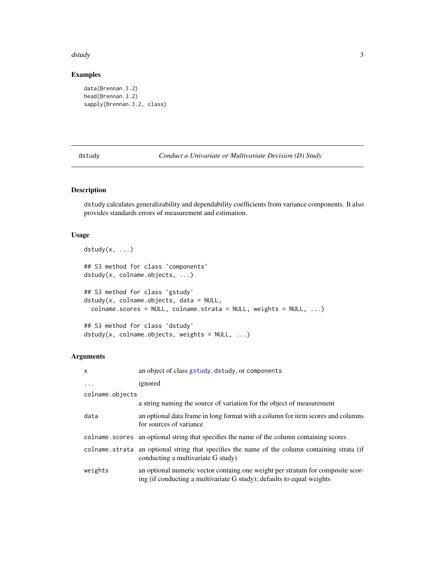#### <span id="page-2-0"></span>dstudy 3

#### Examples

```
data(Brennan.3.2)
head(Brennan.3.2)
sapply(Brennan.3.2, class)
```
dstudy *Conduct a Univariate or Multivariate Decision (D) Study*

#### Description

dstudy calculates generalizability and dependability coefficients from variance components. It also provides standards errors of measurement and estimation.

#### Usage

```
dstudy(x, ...)
## S3 method for class 'components'
dstudy(x, colname.objects, ...)
## S3 method for class 'gstudy'
dstudy(x, colname.objects, data = NULL,
  colname.scores = NULL, colname.strata = NULL, weights = NULL, ...)
## S3 method for class 'dstudy'
dstudy(x, colname.objects, weights = NULL, ...)
```
#### Arguments

| $\mathsf{x}$    | an object of class gstudy, dstudy, or components                                                                                                        |  |  |  |
|-----------------|---------------------------------------------------------------------------------------------------------------------------------------------------------|--|--|--|
| $\ddots$ .      | ignored                                                                                                                                                 |  |  |  |
| colname.objects |                                                                                                                                                         |  |  |  |
|                 | a string naming the source of variation for the object of measurement                                                                                   |  |  |  |
| data            | an optional data frame in long format with a column for item scores and columns<br>for sources of variance                                              |  |  |  |
| colname.scores  | an optional string that specifies the name of the column containing scores                                                                              |  |  |  |
| colname.strata  | an optional string that specifies the name of the column containing strata (if<br>conducting a multivariate G study)                                    |  |  |  |
| weights         | an optional numeric vector containg one weight per stratum for composite scor-<br>ing (if conducting a multivariate G study); defaults to equal weights |  |  |  |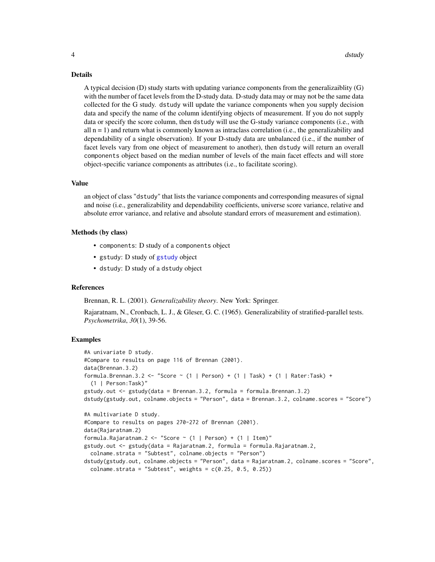#### Details

A typical decision (D) study starts with updating variance components from the generalizaiblity (G) with the number of facet levels from the D-study data. D-study data may or may not be the same data collected for the G study. dstudy will update the variance components when you supply decision data and specify the name of the column identifying objects of measurement. If you do not supply data or specify the score column, then dstudy will use the G-study variance components (i.e., with all  $n = 1$ ) and return what is commonly known as intraclass correlation (i.e., the generalizability and dependability of a single observation). If your D-study data are unbalanced (i.e., if the number of facet levels vary from one object of measurement to another), then dstudy will return an overall components object based on the median number of levels of the main facet effects and will store object-specific variance components as attributes (i.e., to facilitate scoring).

#### Value

an object of class "dstudy" that lists the variance components and corresponding measures of signal and noise (i.e., generalizability and dependability coefficients, universe score variance, relative and absolute error variance, and relative and absolute standard errors of measurement and estimation).

#### Methods (by class)

- components: D study of a components object
- gstudy: D study of [gstudy](#page-4-1) object
- dstudy: D study of a dstudy object

#### References

Brennan, R. L. (2001). *Generalizability theory*. New York: Springer.

Rajaratnam, N., Cronbach, L. J., & Gleser, G. C. (1965). Generalizability of stratified-parallel tests. *Psychometrika*, *30*(1), 39-56.

#### Examples

```
#A univariate D study.
#Compare to results on page 116 of Brennan (2001).
data(Brennan.3.2)
formula.Brennan.3.2 <- "Score \sim (1 | Person) + (1 | Task) + (1 | Rater:Task) +
  (1 | Person:Task)"
gstudy.out <- gstudy(data = Brennan.3.2, formula = formula.Brennan.3.2)
dstudy(gstudy.out, colname.objects = "Person", data = Brennan.3.2, colname.scores = "Score")
#A multivariate D study.
#Compare to results on pages 270-272 of Brennan (2001).
data(Rajaratnam.2)
formula.Rajaratnam.2 <- "Score ~ (1 | Person) + (1 | Item)"
gstudy.out <- gstudy(data = Rajaratnam.2, formula = formula.Rajaratnam.2,
 colname.strata = "Subtest", colname.objects = "Person")
dstudy(gstudy.out, colname.objects = "Person", data = Rajaratnam.2, colname.scores = "Score",
  \text{colname.strata} = "Subtest", \text{ weights} = c(0.25, 0.5, 0.25))
```
<span id="page-3-0"></span>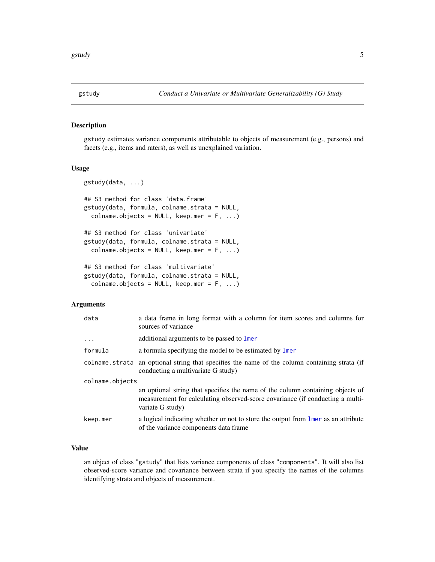#### <span id="page-4-1"></span><span id="page-4-0"></span>Description

gstudy estimates variance components attributable to objects of measurement (e.g., persons) and facets (e.g., items and raters), as well as unexplained variation.

#### Usage

```
gstudy(data, ...)
## S3 method for class 'data.frame'
gstudy(data, formula, colname.strata = NULL,
  colname.objects = NULL, keep.mer = F, ...)## S3 method for class 'univariate'
gstudy(data, formula, colname.strata = NULL,
  colname.objects = NULL, keep.mer = F, ...## S3 method for class 'multivariate'
gstudy(data, formula, colname.strata = NULL,
  colname.objects = NULL, keep.mer = F, ...)
```
#### Arguments

| data            | a data frame in long format with a column for item scores and columns for<br>sources of variance                                                                                    |  |  |  |
|-----------------|-------------------------------------------------------------------------------------------------------------------------------------------------------------------------------------|--|--|--|
| $\ddots$ .      | additional arguments to be passed to lmer                                                                                                                                           |  |  |  |
| formula         | a formula specifying the model to be estimated by lmer                                                                                                                              |  |  |  |
|                 | colname strata an optional string that specifies the name of the column containing strata (if<br>conducting a multivariate G study)                                                 |  |  |  |
| colname.objects |                                                                                                                                                                                     |  |  |  |
|                 | an optional string that specifies the name of the column containing objects of<br>measurement for calculating observed-score covariance (if conducting a multi-<br>variate G study) |  |  |  |
| keep.mer        | a logical indicating whether or not to store the output from liner as an attribute<br>of the variance components data frame.                                                        |  |  |  |

#### Value

an object of class "gstudy" that lists variance components of class "components". It will also list observed-score variance and covariance between strata if you specify the names of the columns identifying strata and objects of measurement.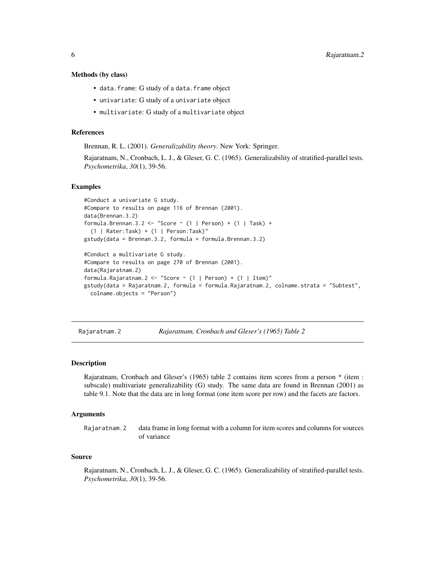#### <span id="page-5-0"></span>Methods (by class)

- data.frame: G study of a data.frame object
- univariate: G study of a univariate object
- multivariate: G study of a multivariate object

#### References

Brennan, R. L. (2001). *Generalizability theory*. New York: Springer.

Rajaratnam, N., Cronbach, L. J., & Gleser, G. C. (1965). Generalizability of stratified-parallel tests. *Psychometrika*, *30*(1), 39-56.

#### Examples

```
#Conduct a univariate G study.
#Compare to results on page 116 of Brennan (2001).
data(Brennan.3.2)
formula.Brennan.3.2 <- "Score ~ (1 | Person) + (1 | Task) +
  (1 | Rater:Task) + (1 | Person:Task)"
gstudy(data = Brennan.3.2, formula = formula.Brennan.3.2)
#Conduct a multivariate G study.
#Compare to results on page 270 of Brennan (2001).
data(Rajaratnam.2)
formula.Rajaratnam.2 <- "Score ~ (1 | Person) + (1 | Item)"
gstudy(data = Rajaratnam.2, formula = formula.Rajaratnam.2, colname.strata = "Subtest",
 colname.objects = "Person")
```
Rajaratnam.2 *Rajaratnam, Cronbach and Gleser's (1965) Table 2*

#### Description

Rajaratnam, Cronbach and Gleser's (1965) table 2 contains item scores from a person \* (item : subscale) multivariate generalizability (G) study. The same data are found in Brennan (2001) as table 9.1. Note that the data are in long format (one item score per row) and the facets are factors.

#### Arguments

Rajaratnam.2 data frame in long format with a column for item scores and columns for sources of variance

#### Source

Rajaratnam, N., Cronbach, L. J., & Gleser, G. C. (1965). Generalizability of stratified-parallel tests. *Psychometrika*, *30*(1), 39-56.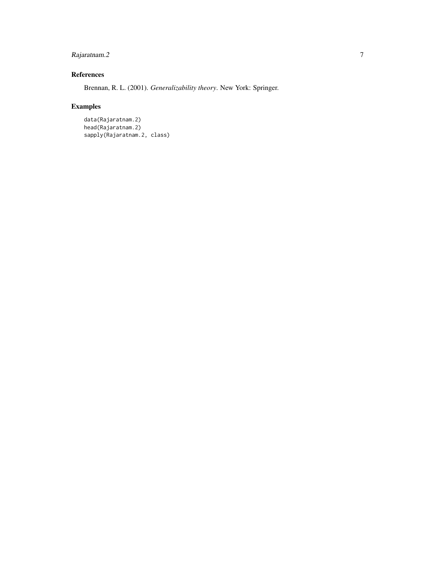#### Rajaratnam. 2 7

#### References

Brennan, R. L. (2001). *Generalizability theory*. New York: Springer.

### Examples

```
data(Rajaratnam.2)
head(Rajaratnam.2)
sapply(Rajaratnam.2, class)
```